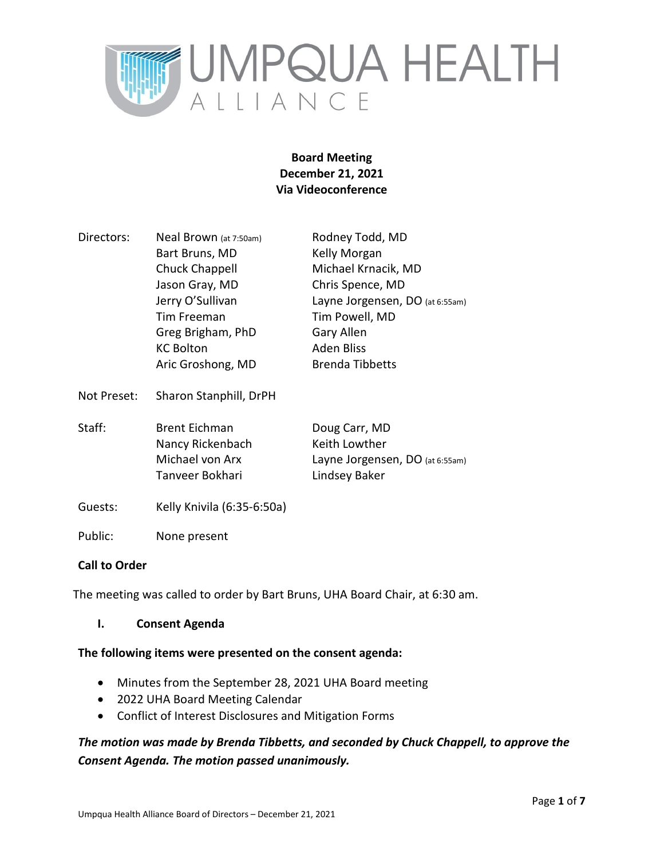

## **Board Meeting December 21, 2021 Via Videoconference**

- Directors: Neal Brown (at 7:50am) Rodney Todd, MD Bart Bruns, MD Kelly Morgan Chuck Chappell Michael Krnacik, MD Jason Gray, MD Chris Spence, MD Jerry O'Sullivan Layne Jorgensen, DO (at 6:55am) Tim Freeman Tim Powell, MD Greg Brigham, PhD Gary Allen KC Bolton Aden Bliss Aric Groshong, MD Brenda Tibbetts
- Not Preset: Sharon Stanphill, DrPH

Staff: Brent Eichman Doug Carr, MD Nancy Rickenbach Keith Lowther Michael von Arx Layne Jorgensen, DO (at 6:55am) Tanveer Bokhari Lindsey Baker

Guests: Kelly Knivila (6:35-6:50a)

Public: None present

### **Call to Order**

The meeting was called to order by Bart Bruns, UHA Board Chair, at 6:30 am.

**I. Consent Agenda**

### **The following items were presented on the consent agenda:**

- Minutes from the September 28, 2021 UHA Board meeting
- 2022 UHA Board Meeting Calendar
- Conflict of Interest Disclosures and Mitigation Forms

## *The motion was made by Brenda Tibbetts, and seconded by Chuck Chappell, to approve the Consent Agenda. The motion passed unanimously.*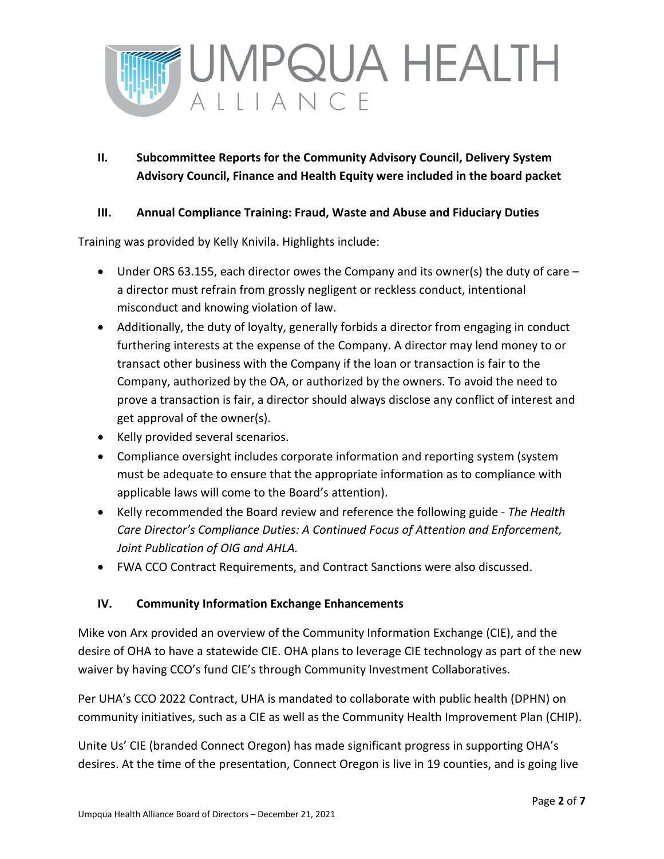

# **II. Subcommittee Reports for the Community Advisory Council, Delivery System Advisory Council, Finance and Health Equity were included in the board packet**

### **III. Annual Compliance Training: Fraud, Waste and Abuse and Fiduciary Duties**

Training was provided by Kelly Knivila. Highlights include:

- Under ORS 63.155, each director owes the Company and its owner(s) the duty of care  $$ a director must refrain from grossly negligent or reckless conduct, intentional misconduct and knowing violation of law.
- Additionally, the duty of loyalty, generally forbids a director from engaging in conduct furthering interests at the expense of the Company. A director may lend money to or transact other business with the Company if the loan or transaction is fair to the Company, authorized by the OA, or authorized by the owners. To avoid the need to prove a transaction is fair, a director should always disclose any conflict of interest and get approval of the owner(s).
- Kelly provided several scenarios.
- Compliance oversight includes corporate information and reporting system (system must be adequate to ensure that the appropriate information as to compliance with applicable laws will come to the Board's attention).
- Kelly recommended the Board review and reference the following guide *The Health Care Director's Compliance Duties: A Continued Focus of Attention and Enforcement, Joint Publication of OIG and AHLA.*
- FWA CCO Contract Requirements, and Contract Sanctions were also discussed.

### **IV. Community Information Exchange Enhancements**

Mike von Arx provided an overview of the Community Information Exchange (CIE), and the desire of OHA to have a statewide CIE. OHA plans to leverage CIE technology as part of the new waiver by having CCO's fund CIE's through Community Investment Collaboratives.

Per UHA's CCO 2022 Contract, UHA is mandated to collaborate with public health (DPHN) on community initiatives, such as a CIE as well as the Community Health Improvement Plan (CHIP).

Unite Us' CIE (branded Connect Oregon) has made significant progress in supporting OHA's desires. At the time of the presentation, Connect Oregon is live in 19 counties, and is going live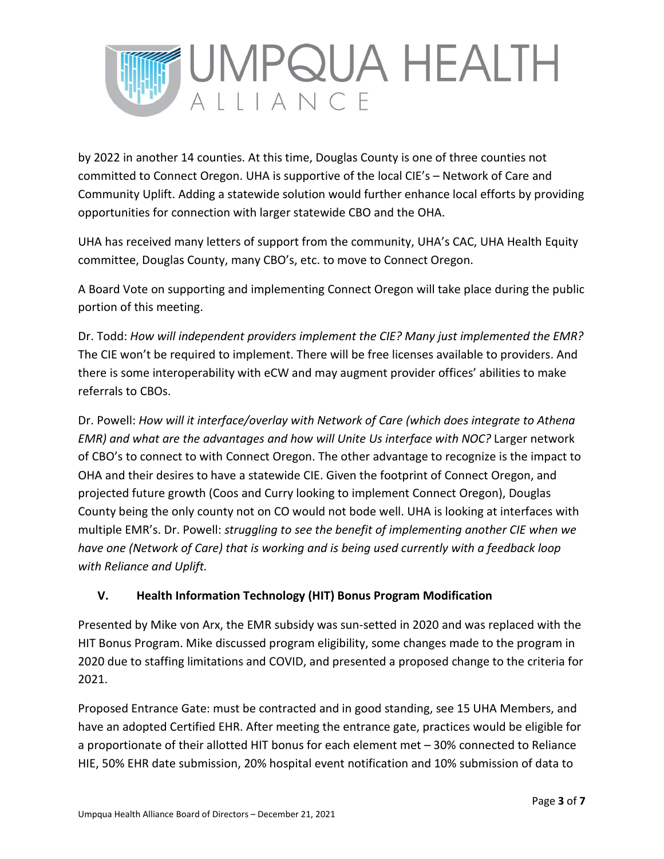

by 2022 in another 14 counties. At this time, Douglas County is one of three counties not committed to Connect Oregon. UHA is supportive of the local CIE's – Network of Care and Community Uplift. Adding a statewide solution would further enhance local efforts by providing opportunities for connection with larger statewide CBO and the OHA.

UHA has received many letters of support from the community, UHA's CAC, UHA Health Equity committee, Douglas County, many CBO's, etc. to move to Connect Oregon.

A Board Vote on supporting and implementing Connect Oregon will take place during the public portion of this meeting.

Dr. Todd: *How will independent providers implement the CIE? Many just implemented the EMR?* The CIE won't be required to implement. There will be free licenses available to providers. And there is some interoperability with eCW and may augment provider offices' abilities to make referrals to CBOs.

Dr. Powell: *How will it interface/overlay with Network of Care (which does integrate to Athena EMR) and what are the advantages and how will Unite Us interface with NOC?* Larger network of CBO's to connect to with Connect Oregon. The other advantage to recognize is the impact to OHA and their desires to have a statewide CIE. Given the footprint of Connect Oregon, and projected future growth (Coos and Curry looking to implement Connect Oregon), Douglas County being the only county not on CO would not bode well. UHA is looking at interfaces with multiple EMR's. Dr. Powell: *struggling to see the benefit of implementing another CIE when we have one (Network of Care) that is working and is being used currently with a feedback loop with Reliance and Uplift.* 

# **V. Health Information Technology (HIT) Bonus Program Modification**

Presented by Mike von Arx, the EMR subsidy was sun-setted in 2020 and was replaced with the HIT Bonus Program. Mike discussed program eligibility, some changes made to the program in 2020 due to staffing limitations and COVID, and presented a proposed change to the criteria for 2021.

Proposed Entrance Gate: must be contracted and in good standing, see 15 UHA Members, and have an adopted Certified EHR. After meeting the entrance gate, practices would be eligible for a proportionate of their allotted HIT bonus for each element met – 30% connected to Reliance HIE, 50% EHR date submission, 20% hospital event notification and 10% submission of data to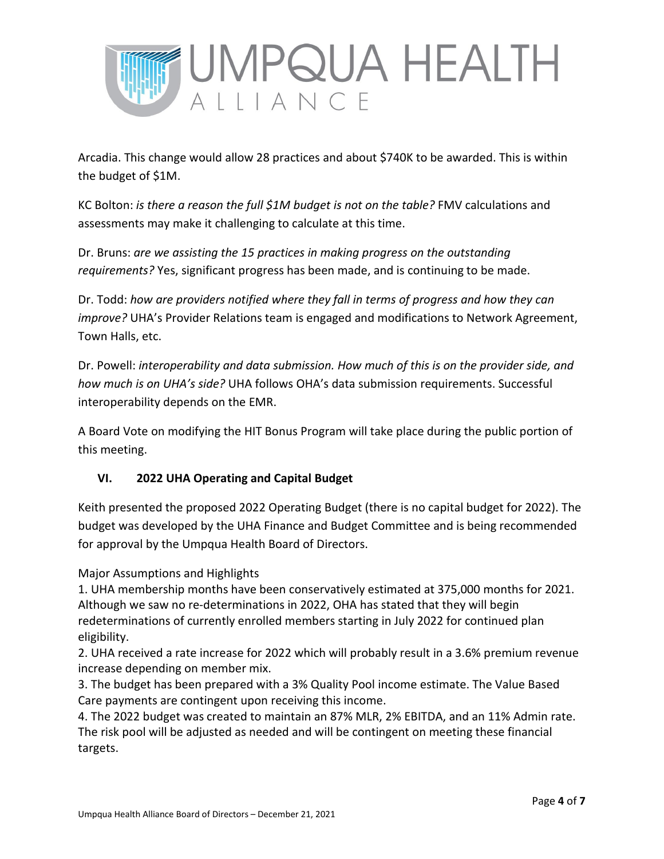

Arcadia. This change would allow 28 practices and about \$740K to be awarded. This is within the budget of \$1M.

KC Bolton: *is there a reason the full \$1M budget is not on the table?* FMV calculations and assessments may make it challenging to calculate at this time.

Dr. Bruns: *are we assisting the 15 practices in making progress on the outstanding requirements?* Yes, significant progress has been made, and is continuing to be made.

Dr. Todd: *how are providers notified where they fall in terms of progress and how they can improve?* UHA's Provider Relations team is engaged and modifications to Network Agreement, Town Halls, etc.

Dr. Powell: *interoperability and data submission. How much of this is on the provider side, and how much is on UHA's side?* UHA follows OHA's data submission requirements. Successful interoperability depends on the EMR.

A Board Vote on modifying the HIT Bonus Program will take place during the public portion of this meeting.

# **VI. 2022 UHA Operating and Capital Budget**

Keith presented the proposed 2022 Operating Budget (there is no capital budget for 2022). The budget was developed by the UHA Finance and Budget Committee and is being recommended for approval by the Umpqua Health Board of Directors.

Major Assumptions and Highlights

1. UHA membership months have been conservatively estimated at 375,000 months for 2021. Although we saw no re-determinations in 2022, OHA has stated that they will begin redeterminations of currently enrolled members starting in July 2022 for continued plan eligibility.

2. UHA received a rate increase for 2022 which will probably result in a 3.6% premium revenue increase depending on member mix.

3. The budget has been prepared with a 3% Quality Pool income estimate. The Value Based Care payments are contingent upon receiving this income.

4. The 2022 budget was created to maintain an 87% MLR, 2% EBITDA, and an 11% Admin rate. The risk pool will be adjusted as needed and will be contingent on meeting these financial targets.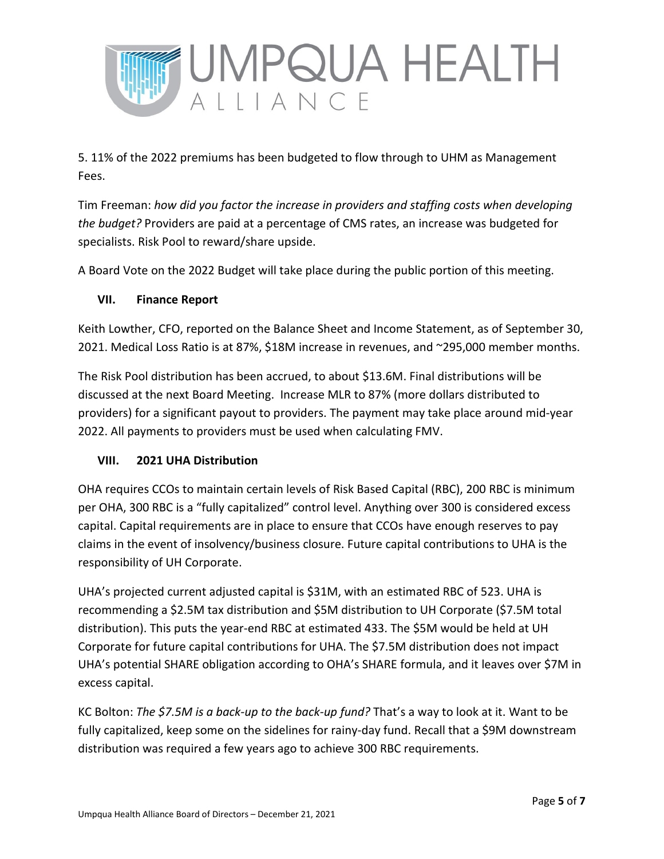

5. 11% of the 2022 premiums has been budgeted to flow through to UHM as Management Fees.

Tim Freeman: *how did you factor the increase in providers and staffing costs when developing the budget?* Providers are paid at a percentage of CMS rates, an increase was budgeted for specialists. Risk Pool to reward/share upside.

A Board Vote on the 2022 Budget will take place during the public portion of this meeting.

## **VII. Finance Report**

Keith Lowther, CFO, reported on the Balance Sheet and Income Statement, as of September 30, 2021. Medical Loss Ratio is at 87%, \$18M increase in revenues, and ~295,000 member months.

The Risk Pool distribution has been accrued, to about \$13.6M. Final distributions will be discussed at the next Board Meeting. Increase MLR to 87% (more dollars distributed to providers) for a significant payout to providers. The payment may take place around mid-year 2022. All payments to providers must be used when calculating FMV.

## **VIII. 2021 UHA Distribution**

OHA requires CCOs to maintain certain levels of Risk Based Capital (RBC), 200 RBC is minimum per OHA, 300 RBC is a "fully capitalized" control level. Anything over 300 is considered excess capital. Capital requirements are in place to ensure that CCOs have enough reserves to pay claims in the event of insolvency/business closure. Future capital contributions to UHA is the responsibility of UH Corporate.

UHA's projected current adjusted capital is \$31M, with an estimated RBC of 523. UHA is recommending a \$2.5M tax distribution and \$5M distribution to UH Corporate (\$7.5M total distribution). This puts the year-end RBC at estimated 433. The \$5M would be held at UH Corporate for future capital contributions for UHA. The \$7.5M distribution does not impact UHA's potential SHARE obligation according to OHA's SHARE formula, and it leaves over \$7M in excess capital.

KC Bolton: *The \$7.5M is a back-up to the back-up fund?* That's a way to look at it. Want to be fully capitalized, keep some on the sidelines for rainy-day fund. Recall that a \$9M downstream distribution was required a few years ago to achieve 300 RBC requirements.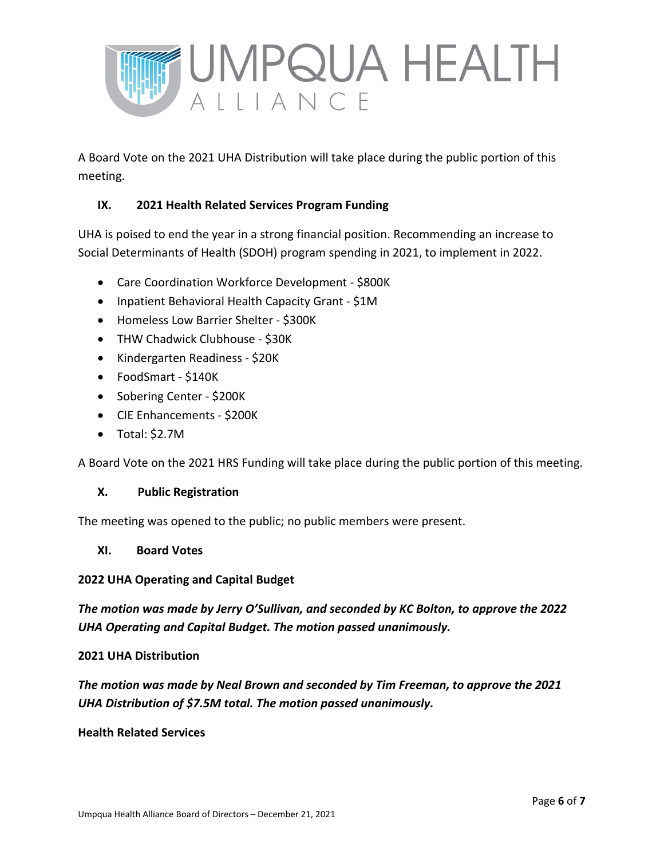

A Board Vote on the 2021 UHA Distribution will take place during the public portion of this meeting.

## **IX. 2021 Health Related Services Program Funding**

UHA is poised to end the year in a strong financial position. Recommending an increase to Social Determinants of Health (SDOH) program spending in 2021, to implement in 2022.

- Care Coordination Workforce Development \$800K
- Inpatient Behavioral Health Capacity Grant \$1M
- Homeless Low Barrier Shelter \$300K
- THW Chadwick Clubhouse \$30K
- Kindergarten Readiness \$20K
- FoodSmart \$140K
- Sobering Center \$200K
- CIE Enhancements \$200K
- Total: \$2.7M

A Board Vote on the 2021 HRS Funding will take place during the public portion of this meeting.

### **X. Public Registration**

The meeting was opened to the public; no public members were present.

### **XI. Board Votes**

### **2022 UHA Operating and Capital Budget**

*The motion was made by Jerry O'Sullivan, and seconded by KC Bolton, to approve the 2022 UHA Operating and Capital Budget. The motion passed unanimously.*

### **2021 UHA Distribution**

*The motion was made by Neal Brown and seconded by Tim Freeman, to approve the 2021 UHA Distribution of \$7.5M total. The motion passed unanimously.*

### **Health Related Services**